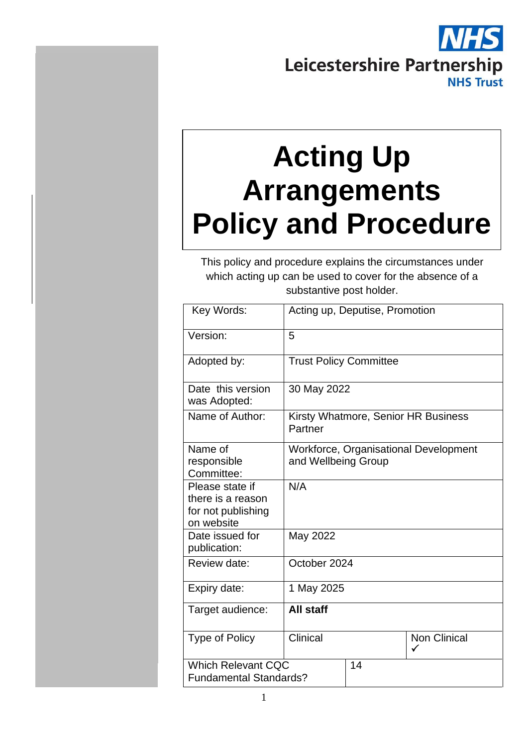# Leicestershire Partnership **NHS Trust**

# **Acting Up Arrangements Policy and Procedure**

This policy and procedure explains the circumstances under which acting up can be used to cover for the absence of a substantive post holder.

| Key Words:                                                               | Acting up, Deputise, Promotion                                      |             |                     |  |  |
|--------------------------------------------------------------------------|---------------------------------------------------------------------|-------------|---------------------|--|--|
| Version:                                                                 | 5                                                                   |             |                     |  |  |
| Adopted by:                                                              | <b>Trust Policy Committee</b>                                       |             |                     |  |  |
| Date this version<br>was Adopted:                                        |                                                                     | 30 May 2022 |                     |  |  |
| Name of Author:                                                          | Kirsty Whatmore, Senior HR Business<br>Partner                      |             |                     |  |  |
| Name of<br>responsible<br>Committee:                                     | <b>Workforce, Organisational Development</b><br>and Wellbeing Group |             |                     |  |  |
| Please state if<br>there is a reason<br>for not publishing<br>on website | N/A                                                                 |             |                     |  |  |
| Date issued for<br>publication:                                          | May 2022                                                            |             |                     |  |  |
| Review date:                                                             | October 2024                                                        |             |                     |  |  |
| Expiry date:                                                             | 1 May 2025                                                          |             |                     |  |  |
| Target audience:                                                         | All staff                                                           |             |                     |  |  |
| <b>Type of Policy</b>                                                    | Clinical                                                            |             | <b>Non Clinical</b> |  |  |
| <b>Which Relevant CQC</b><br><b>Fundamental Standards?</b>               |                                                                     | 14          |                     |  |  |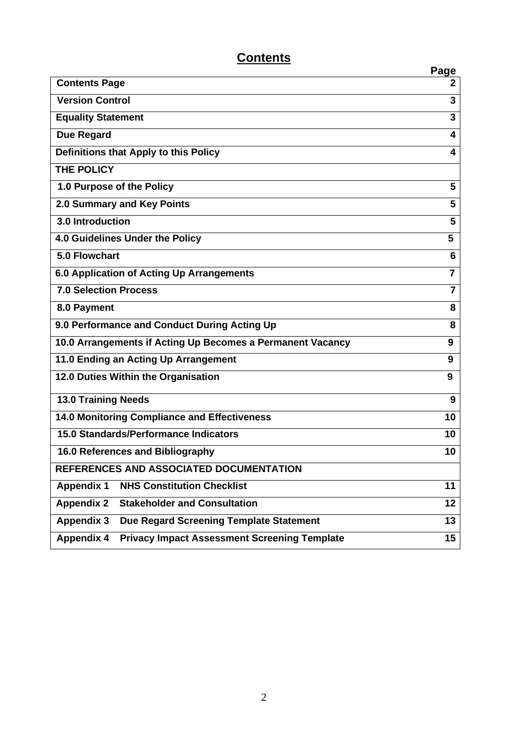# **Contents**

|                                                                          | <b>Page</b>    |  |
|--------------------------------------------------------------------------|----------------|--|
| <b>Contents Page</b>                                                     | 2              |  |
| <b>Version Control</b>                                                   | 3              |  |
| <b>Equality Statement</b>                                                | 3              |  |
| <b>Due Regard</b>                                                        | 4              |  |
| Definitions that Apply to this Policy                                    | 4              |  |
| <b>THE POLICY</b>                                                        |                |  |
| 1.0 Purpose of the Policy                                                | 5              |  |
| 2.0 Summary and Key Points                                               | 5              |  |
| <b>3.0 Introduction</b>                                                  | 5              |  |
| 4.0 Guidelines Under the Policy                                          | 5              |  |
| 5.0 Flowchart                                                            | 6              |  |
| 6.0 Application of Acting Up Arrangements                                | $\overline{7}$ |  |
| <b>7.0 Selection Process</b>                                             | $\overline{7}$ |  |
| 8.0 Payment                                                              | 8              |  |
| 9.0 Performance and Conduct During Acting Up                             |                |  |
| 10.0 Arrangements if Acting Up Becomes a Permanent Vacancy               |                |  |
| 11.0 Ending an Acting Up Arrangement                                     |                |  |
| 12.0 Duties Within the Organisation                                      | 9              |  |
| <b>13.0 Training Needs</b>                                               | 9              |  |
| 14.0 Monitoring Compliance and Effectiveness                             |                |  |
| 15.0 Standards/Performance Indicators                                    |                |  |
| 16.0 References and Bibliography                                         |                |  |
| REFERENCES AND ASSOCIATED DOCUMENTATION                                  |                |  |
| <b>NHS Constitution Checklist</b><br><b>Appendix 1</b>                   | 11             |  |
| <b>Stakeholder and Consultation</b><br><b>Appendix 2</b>                 | 12             |  |
| <b>Appendix 3</b><br>Due Regard Screening Template Statement             | 13             |  |
| <b>Appendix 4</b><br><b>Privacy Impact Assessment Screening Template</b> | 15             |  |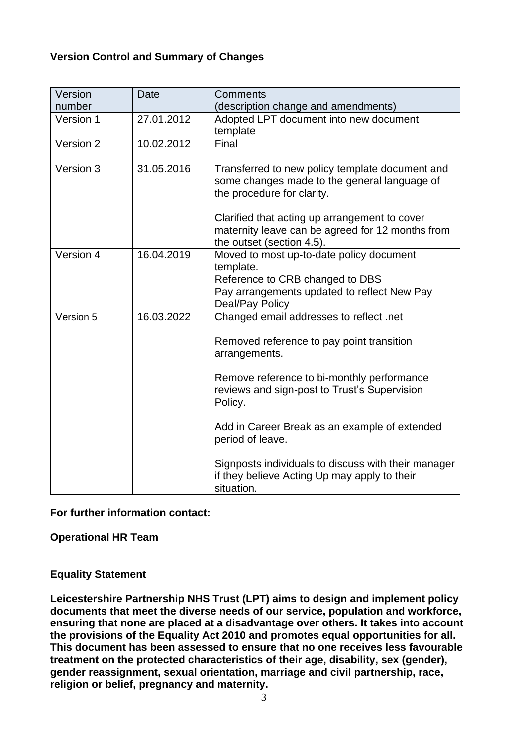# **Version Control and Summary of Changes**

| Version     | Date       | <b>Comments</b>                                                                                                                                                                                                                    |
|-------------|------------|------------------------------------------------------------------------------------------------------------------------------------------------------------------------------------------------------------------------------------|
| number      |            | (description change and amendments)                                                                                                                                                                                                |
| Version 1   | 27.01.2012 | Adopted LPT document into new document<br>template                                                                                                                                                                                 |
| Version $2$ | 10.02.2012 | Final                                                                                                                                                                                                                              |
| Version 3   | 31.05.2016 | Transferred to new policy template document and<br>some changes made to the general language of<br>the procedure for clarity.<br>Clarified that acting up arrangement to cover<br>maternity leave can be agreed for 12 months from |
|             |            | the outset (section 4.5).                                                                                                                                                                                                          |
| Version 4   | 16.04.2019 | Moved to most up-to-date policy document<br>template.<br>Reference to CRB changed to DBS<br>Pay arrangements updated to reflect New Pay<br>Deal/Pay Policy                                                                         |
| Version 5   | 16.03.2022 | Changed email addresses to reflect .net                                                                                                                                                                                            |
|             |            | Removed reference to pay point transition<br>arrangements.                                                                                                                                                                         |
|             |            | Remove reference to bi-monthly performance<br>reviews and sign-post to Trust's Supervision<br>Policy.                                                                                                                              |
|             |            | Add in Career Break as an example of extended<br>period of leave.                                                                                                                                                                  |
|             |            | Signposts individuals to discuss with their manager<br>if they believe Acting Up may apply to their<br>situation.                                                                                                                  |

**For further information contact:**

**Operational HR Team**

# **Equality Statement**

**Leicestershire Partnership NHS Trust (LPT) aims to design and implement policy documents that meet the diverse needs of our service, population and workforce, ensuring that none are placed at a disadvantage over others. It takes into account the provisions of the Equality Act 2010 and promotes equal opportunities for all. This document has been assessed to ensure that no one receives less favourable treatment on the protected characteristics of their age, disability, sex (gender), gender reassignment, sexual orientation, marriage and civil partnership, race, religion or belief, pregnancy and maternity.**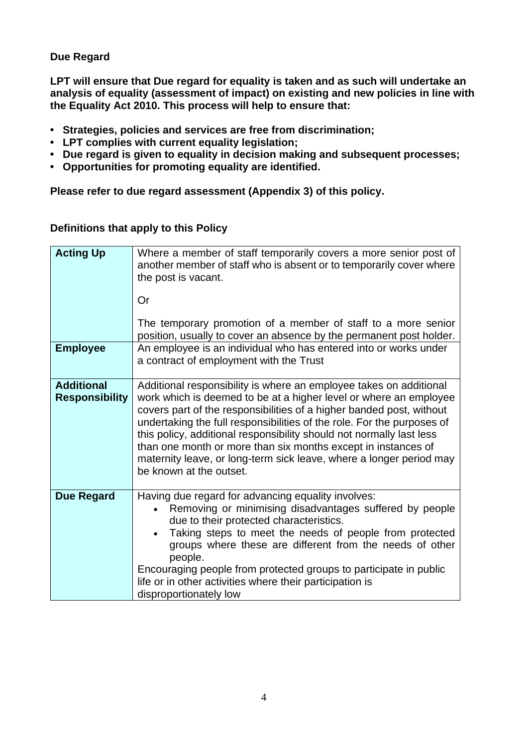# **Due Regard**

**LPT will ensure that Due regard for equality is taken and as such will undertake an analysis of equality (assessment of impact) on existing and new policies in line with the Equality Act 2010. This process will help to ensure that:** 

- **• Strategies, policies and services are free from discrimination;**
- **• LPT complies with current equality legislation;**
- **• Due regard is given to equality in decision making and subsequent processes;**
- **• Opportunities for promoting equality are identified.**

**Please refer to due regard assessment (Appendix 3) of this policy.**

| <b>Acting Up</b>                           | Where a member of staff temporarily covers a more senior post of<br>another member of staff who is absent or to temporarily cover where<br>the post is vacant.                                                                                                                                                                                                                                                                                                                                                                       |
|--------------------------------------------|--------------------------------------------------------------------------------------------------------------------------------------------------------------------------------------------------------------------------------------------------------------------------------------------------------------------------------------------------------------------------------------------------------------------------------------------------------------------------------------------------------------------------------------|
|                                            | Or                                                                                                                                                                                                                                                                                                                                                                                                                                                                                                                                   |
|                                            | The temporary promotion of a member of staff to a more senior<br>position, usually to cover an absence by the permanent post holder.                                                                                                                                                                                                                                                                                                                                                                                                 |
| <b>Employee</b>                            | An employee is an individual who has entered into or works under<br>a contract of employment with the Trust                                                                                                                                                                                                                                                                                                                                                                                                                          |
| <b>Additional</b><br><b>Responsibility</b> | Additional responsibility is where an employee takes on additional<br>work which is deemed to be at a higher level or where an employee<br>covers part of the responsibilities of a higher banded post, without<br>undertaking the full responsibilities of the role. For the purposes of<br>this policy, additional responsibility should not normally last less<br>than one month or more than six months except in instances of<br>maternity leave, or long-term sick leave, where a longer period may<br>be known at the outset. |
| <b>Due Regard</b>                          | Having due regard for advancing equality involves:<br>Removing or minimising disadvantages suffered by people<br>due to their protected characteristics.<br>Taking steps to meet the needs of people from protected<br>groups where these are different from the needs of other<br>people.<br>Encouraging people from protected groups to participate in public<br>life or in other activities where their participation is<br>disproportionately low                                                                                |

# **Definitions that apply to this Policy**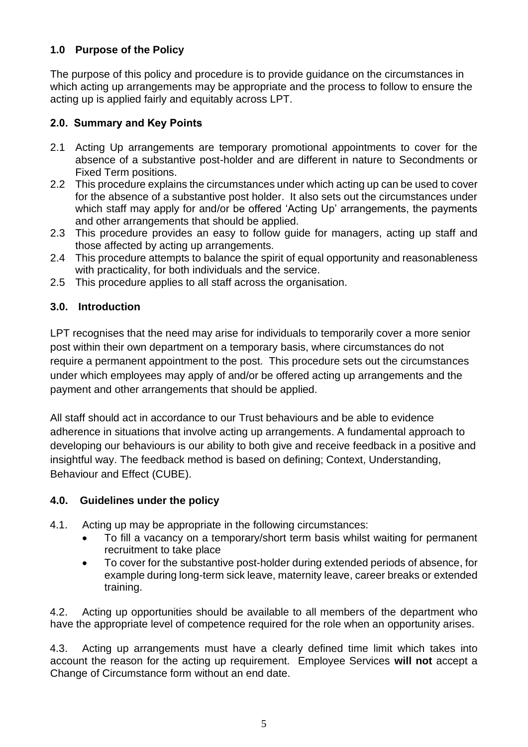# **1.0 Purpose of the Policy**

The purpose of this policy and procedure is to provide guidance on the circumstances in which acting up arrangements may be appropriate and the process to follow to ensure the acting up is applied fairly and equitably across LPT.

# **2.0. Summary and Key Points**

- 2.1 Acting Up arrangements are temporary promotional appointments to cover for the absence of a substantive post-holder and are different in nature to Secondments or Fixed Term positions.
- 2.2 This procedure explains the circumstances under which acting up can be used to cover for the absence of a substantive post holder. It also sets out the circumstances under which staff may apply for and/or be offered 'Acting Up' arrangements, the payments and other arrangements that should be applied.
- 2.3 This procedure provides an easy to follow guide for managers, acting up staff and those affected by acting up arrangements.
- 2.4 This procedure attempts to balance the spirit of equal opportunity and reasonableness with practicality, for both individuals and the service.
- 2.5 This procedure applies to all staff across the organisation.

# **3.0. Introduction**

LPT recognises that the need may arise for individuals to temporarily cover a more senior post within their own department on a temporary basis, where circumstances do not require a permanent appointment to the post. This procedure sets out the circumstances under which employees may apply of and/or be offered acting up arrangements and the payment and other arrangements that should be applied.

All staff should act in accordance to our Trust behaviours and be able to evidence adherence in situations that involve acting up arrangements. A fundamental approach to developing our behaviours is our ability to both give and receive feedback in a positive and insightful way. The feedback method is based on defining; Context, Understanding, Behaviour and Effect (CUBE).

# **4.0. Guidelines under the policy**

- 4.1. Acting up may be appropriate in the following circumstances:
	- To fill a vacancy on a temporary/short term basis whilst waiting for permanent recruitment to take place
	- To cover for the substantive post-holder during extended periods of absence, for example during long-term sick leave, maternity leave, career breaks or extended training.

4.2. Acting up opportunities should be available to all members of the department who have the appropriate level of competence required for the role when an opportunity arises.

4.3. Acting up arrangements must have a clearly defined time limit which takes into account the reason for the acting up requirement. Employee Services **will not** accept a Change of Circumstance form without an end date.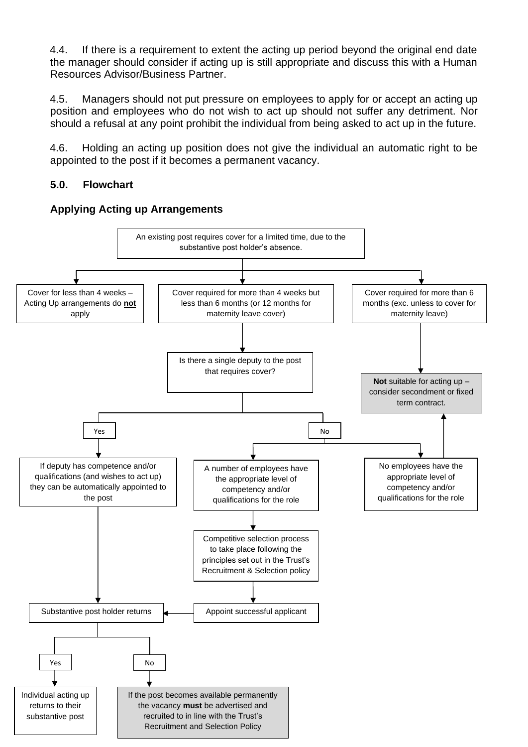4.4. If there is a requirement to extent the acting up period beyond the original end date the manager should consider if acting up is still appropriate and discuss this with a Human Resources Advisor/Business Partner.

4.5. Managers should not put pressure on employees to apply for or accept an acting up position and employees who do not wish to act up should not suffer any detriment. Nor should a refusal at any point prohibit the individual from being asked to act up in the future.

4.6. Holding an acting up position does not give the individual an automatic right to be appointed to the post if it becomes a permanent vacancy.

# **5.0. Flowchart**



#### **Applying Acting up Arrangements**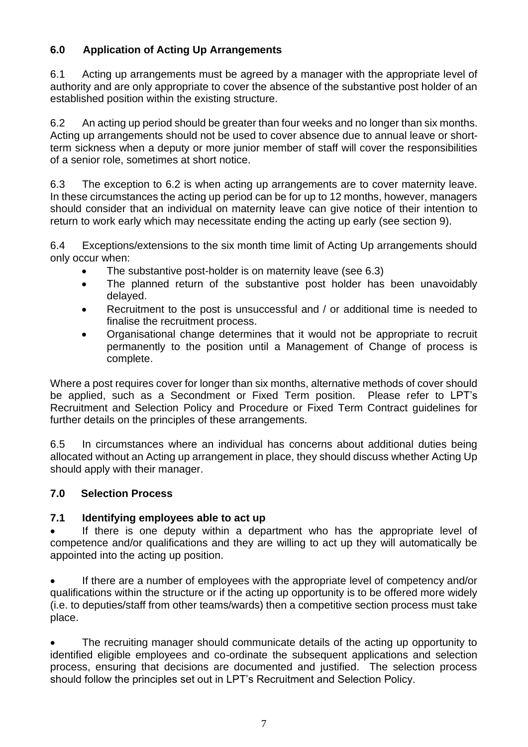# **6.0 Application of Acting Up Arrangements**

6.1 Acting up arrangements must be agreed by a manager with the appropriate level of authority and are only appropriate to cover the absence of the substantive post holder of an established position within the existing structure.

6.2 An acting up period should be greater than four weeks and no longer than six months. Acting up arrangements should not be used to cover absence due to annual leave or shortterm sickness when a deputy or more junior member of staff will cover the responsibilities of a senior role, sometimes at short notice.

6.3 The exception to 6.2 is when acting up arrangements are to cover maternity leave. In these circumstances the acting up period can be for up to 12 months, however, managers should consider that an individual on maternity leave can give notice of their intention to return to work early which may necessitate ending the acting up early (see section 9).

6.4 Exceptions/extensions to the six month time limit of Acting Up arrangements should only occur when:

- The substantive post-holder is on maternity leave (see 6.3)
- The planned return of the substantive post holder has been unavoidably delayed.
- Recruitment to the post is unsuccessful and / or additional time is needed to finalise the recruitment process.
- Organisational change determines that it would not be appropriate to recruit permanently to the position until a Management of Change of process is complete.

Where a post requires cover for longer than six months, alternative methods of cover should be applied, such as a Secondment or Fixed Term position. Please refer to LPT's Recruitment and Selection Policy and Procedure or Fixed Term Contract guidelines for further details on the principles of these arrangements.

6.5 In circumstances where an individual has concerns about additional duties being allocated without an Acting up arrangement in place, they should discuss whether Acting Up should apply with their manager.

# **7.0 Selection Process**

# **7.1 Identifying employees able to act up**

If there is one deputy within a department who has the appropriate level of competence and/or qualifications and they are willing to act up they will automatically be appointed into the acting up position.

• If there are a number of employees with the appropriate level of competency and/or qualifications within the structure or if the acting up opportunity is to be offered more widely (i.e. to deputies/staff from other teams/wards) then a competitive section process must take place.

The recruiting manager should communicate details of the acting up opportunity to identified eligible employees and co-ordinate the subsequent applications and selection process, ensuring that decisions are documented and justified. The selection process should follow the principles set out in LPT's Recruitment and Selection Policy.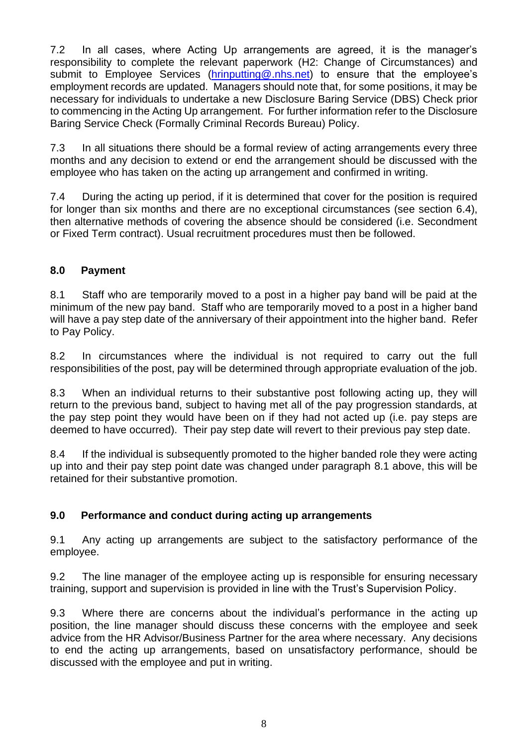7.2 In all cases, where Acting Up arrangements are agreed, it is the manager's responsibility to complete the relevant paperwork (H2: Change of Circumstances) and submit to Employee Services [\(hrinputting@.nhs.net\)](mailto:hrinputting@.nhs.net) to ensure that the employee's employment records are updated. Managers should note that, for some positions, it may be necessary for individuals to undertake a new Disclosure Baring Service (DBS) Check prior to commencing in the Acting Up arrangement. For further information refer to the Disclosure Baring Service Check (Formally Criminal Records Bureau) Policy.

7.3 In all situations there should be a formal review of acting arrangements every three months and any decision to extend or end the arrangement should be discussed with the employee who has taken on the acting up arrangement and confirmed in writing.

7.4 During the acting up period, if it is determined that cover for the position is required for longer than six months and there are no exceptional circumstances (see section 6.4), then alternative methods of covering the absence should be considered (i.e. Secondment or Fixed Term contract). Usual recruitment procedures must then be followed.

# **8.0 Payment**

8.1 Staff who are temporarily moved to a post in a higher pay band will be paid at the minimum of the new pay band. Staff who are temporarily moved to a post in a higher band will have a pay step date of the anniversary of their appointment into the higher band. Refer to Pay Policy.

8.2 In circumstances where the individual is not required to carry out the full responsibilities of the post, pay will be determined through appropriate evaluation of the job.

8.3 When an individual returns to their substantive post following acting up, they will return to the previous band, subject to having met all of the pay progression standards, at the pay step point they would have been on if they had not acted up (i.e. pay steps are deemed to have occurred). Their pay step date will revert to their previous pay step date.

8.4 If the individual is subsequently promoted to the higher banded role they were acting up into and their pay step point date was changed under paragraph 8.1 above, this will be retained for their substantive promotion.

# **9.0 Performance and conduct during acting up arrangements**

9.1 Any acting up arrangements are subject to the satisfactory performance of the employee.

9.2 The line manager of the employee acting up is responsible for ensuring necessary training, support and supervision is provided in line with the Trust's Supervision Policy.

9.3 Where there are concerns about the individual's performance in the acting up position, the line manager should discuss these concerns with the employee and seek advice from the HR Advisor/Business Partner for the area where necessary. Any decisions to end the acting up arrangements, based on unsatisfactory performance, should be discussed with the employee and put in writing.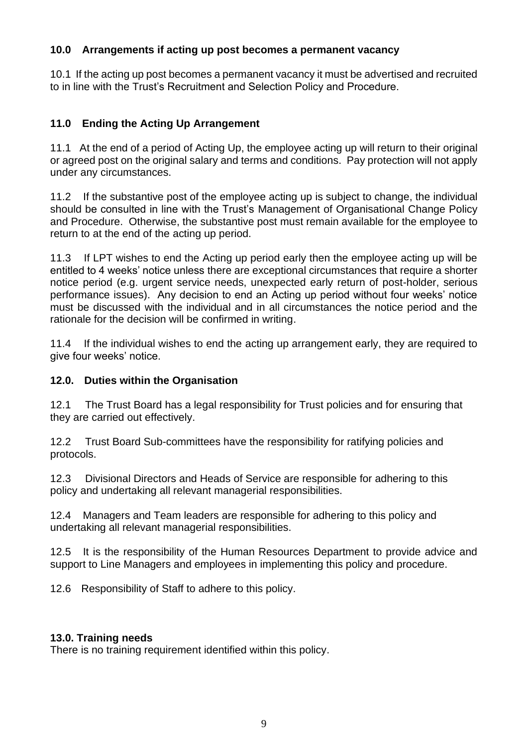#### **10.0 Arrangements if acting up post becomes a permanent vacancy**

10.1 If the acting up post becomes a permanent vacancy it must be advertised and recruited to in line with the Trust's Recruitment and Selection Policy and Procedure.

# **11.0 Ending the Acting Up Arrangement**

11.1 At the end of a period of Acting Up, the employee acting up will return to their original or agreed post on the original salary and terms and conditions. Pay protection will not apply under any circumstances.

11.2 If the substantive post of the employee acting up is subject to change, the individual should be consulted in line with the Trust's Management of Organisational Change Policy and Procedure. Otherwise, the substantive post must remain available for the employee to return to at the end of the acting up period.

11.3 If LPT wishes to end the Acting up period early then the employee acting up will be entitled to 4 weeks' notice unless there are exceptional circumstances that require a shorter notice period (e.g. urgent service needs, unexpected early return of post-holder, serious performance issues). Any decision to end an Acting up period without four weeks' notice must be discussed with the individual and in all circumstances the notice period and the rationale for the decision will be confirmed in writing.

11.4 If the individual wishes to end the acting up arrangement early, they are required to give four weeks' notice.

# **12.0. Duties within the Organisation**

12.1 The Trust Board has a legal responsibility for Trust policies and for ensuring that they are carried out effectively.

12.2 Trust Board Sub-committees have the responsibility for ratifying policies and protocols.

12.3 Divisional Directors and Heads of Service are responsible for adhering to this policy and undertaking all relevant managerial responsibilities.

12.4 Managers and Team leaders are responsible for adhering to this policy and undertaking all relevant managerial responsibilities.

12.5 It is the responsibility of the Human Resources Department to provide advice and support to Line Managers and employees in implementing this policy and procedure.

12.6 Responsibility of Staff to adhere to this policy.

# **13.0. Training needs**

There is no training requirement identified within this policy.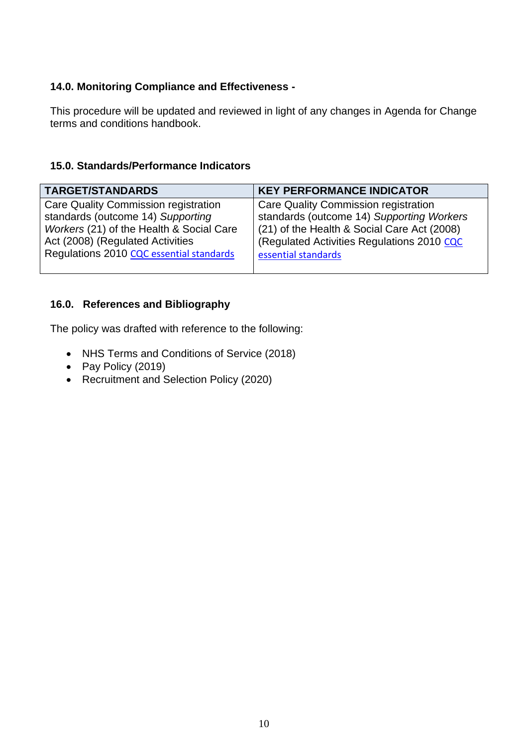# **14.0. Monitoring Compliance and Effectiveness -**

This procedure will be updated and reviewed in light of any changes in Agenda for Change terms and conditions handbook.

# **15.0. Standards/Performance Indicators**

| <b>TARGET/STANDARDS</b>                  | <b>KEY PERFORMANCE INDICATOR</b>            |
|------------------------------------------|---------------------------------------------|
| Care Quality Commission registration     | Care Quality Commission registration        |
| standards (outcome 14) Supporting        | standards (outcome 14) Supporting Workers   |
| Workers (21) of the Health & Social Care | (21) of the Health & Social Care Act (2008) |
| Act (2008) (Regulated Activities         | (Regulated Activities Regulations 2010 CQC  |
| Regulations 2010 CQC essential standards | essential standards                         |

# **16.0. References and Bibliography**

The policy was drafted with reference to the following:

- NHS Terms and Conditions of Service (2018)
- Pay Policy (2019)
- Recruitment and Selection Policy (2020)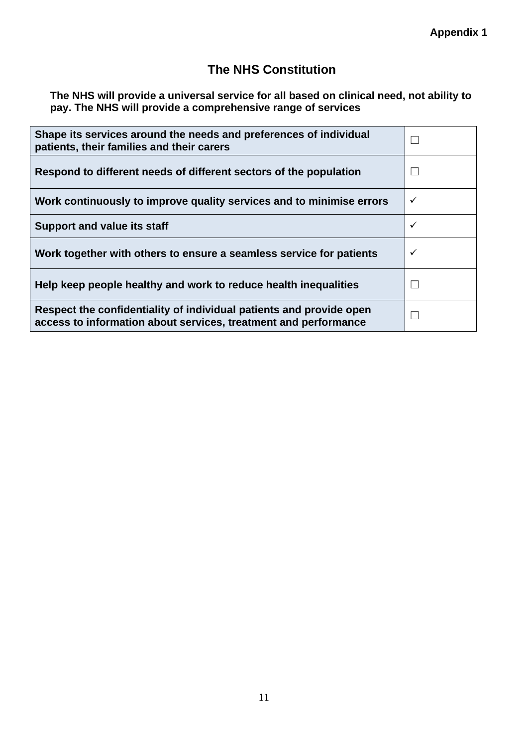# **The NHS Constitution**

**The NHS will provide a universal service for all based on clinical need, not ability to pay. The NHS will provide a comprehensive range of services**

| Shape its services around the needs and preferences of individual<br>patients, their families and their carers                         |   |
|----------------------------------------------------------------------------------------------------------------------------------------|---|
| Respond to different needs of different sectors of the population                                                                      |   |
| Work continuously to improve quality services and to minimise errors                                                                   | ✓ |
| <b>Support and value its staff</b>                                                                                                     | ✓ |
| Work together with others to ensure a seamless service for patients                                                                    | ✓ |
| Help keep people healthy and work to reduce health inequalities                                                                        |   |
| Respect the confidentiality of individual patients and provide open<br>access to information about services, treatment and performance |   |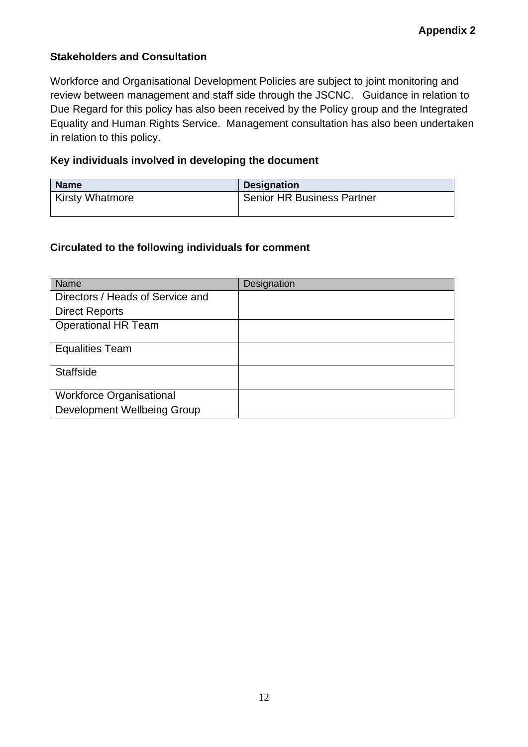# **Stakeholders and Consultation**

Workforce and Organisational Development Policies are subject to joint monitoring and review between management and staff side through the JSCNC. Guidance in relation to Due Regard for this policy has also been received by the Policy group and the Integrated Equality and Human Rights Service. Management consultation has also been undertaken in relation to this policy.

#### **Key individuals involved in developing the document**

| <b>Name</b>            | <b>Designation</b>                |
|------------------------|-----------------------------------|
| <b>Kirsty Whatmore</b> | <b>Senior HR Business Partner</b> |
|                        |                                   |

# **Circulated to the following individuals for comment**

| Name                               | Designation |
|------------------------------------|-------------|
| Directors / Heads of Service and   |             |
| <b>Direct Reports</b>              |             |
| <b>Operational HR Team</b>         |             |
| <b>Equalities Team</b>             |             |
| <b>Staffside</b>                   |             |
| <b>Workforce Organisational</b>    |             |
| <b>Development Wellbeing Group</b> |             |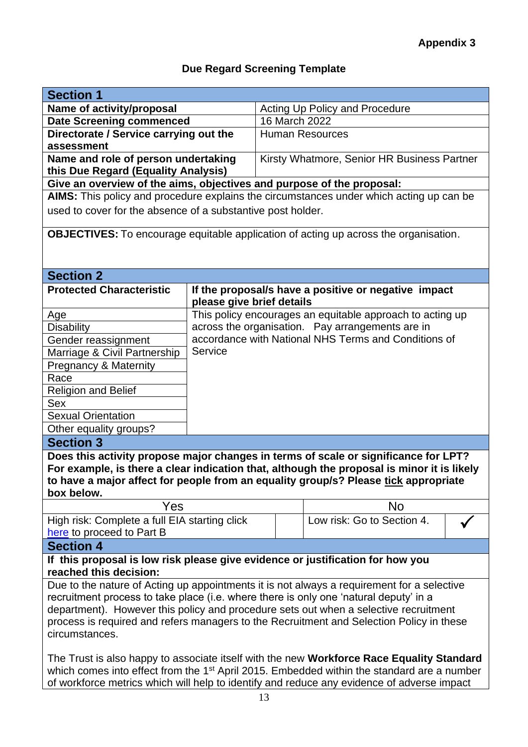# **Due Regard Screening Template**

| <b>Section 1</b>                                                                                       |                           |                                |                                                                                             |  |  |
|--------------------------------------------------------------------------------------------------------|---------------------------|--------------------------------|---------------------------------------------------------------------------------------------|--|--|
| Name of activity/proposal                                                                              |                           | Acting Up Policy and Procedure |                                                                                             |  |  |
| <b>Date Screening commenced</b>                                                                        |                           | 16 March 2022                  |                                                                                             |  |  |
| Directorate / Service carrying out the                                                                 |                           | <b>Human Resources</b>         |                                                                                             |  |  |
|                                                                                                        | assessment                |                                |                                                                                             |  |  |
| Name and role of person undertaking                                                                    |                           |                                | Kirsty Whatmore, Senior HR Business Partner                                                 |  |  |
| this Due Regard (Equality Analysis)                                                                    |                           |                                |                                                                                             |  |  |
| Give an overview of the aims, objectives and purpose of the proposal:                                  |                           |                                |                                                                                             |  |  |
|                                                                                                        |                           |                                | AIMS: This policy and procedure explains the circumstances under which acting up can be     |  |  |
| used to cover for the absence of a substantive post holder.                                            |                           |                                |                                                                                             |  |  |
|                                                                                                        |                           |                                | <b>OBJECTIVES:</b> To encourage equitable application of acting up across the organisation. |  |  |
|                                                                                                        |                           |                                |                                                                                             |  |  |
|                                                                                                        |                           |                                |                                                                                             |  |  |
| <b>Section 2</b>                                                                                       |                           |                                |                                                                                             |  |  |
| <b>Protected Characteristic</b>                                                                        |                           |                                | If the proposal/s have a positive or negative impact                                        |  |  |
|                                                                                                        | please give brief details |                                |                                                                                             |  |  |
| Age                                                                                                    |                           |                                | This policy encourages an equitable approach to acting up                                   |  |  |
| <b>Disability</b>                                                                                      |                           |                                | across the organisation. Pay arrangements are in                                            |  |  |
| Gender reassignment                                                                                    |                           |                                | accordance with National NHS Terms and Conditions of                                        |  |  |
| Marriage & Civil Partnership                                                                           | Service                   |                                |                                                                                             |  |  |
| Pregnancy & Maternity                                                                                  |                           |                                |                                                                                             |  |  |
| Race                                                                                                   |                           |                                |                                                                                             |  |  |
| <b>Religion and Belief</b>                                                                             |                           |                                |                                                                                             |  |  |
| <b>Sex</b>                                                                                             |                           |                                |                                                                                             |  |  |
| <b>Sexual Orientation</b>                                                                              |                           |                                |                                                                                             |  |  |
| Other equality groups?                                                                                 |                           |                                |                                                                                             |  |  |
| <b>Section 3</b>                                                                                       |                           |                                |                                                                                             |  |  |
|                                                                                                        |                           |                                | Does this activity propose major changes in terms of scale or significance for LPT?         |  |  |
|                                                                                                        |                           |                                | For example, is there a clear indication that, although the proposal is minor it is likely  |  |  |
|                                                                                                        |                           |                                | to have a major affect for people from an equality group/s? Please tick appropriate         |  |  |
| box below.                                                                                             |                           |                                |                                                                                             |  |  |
| Yes                                                                                                    |                           |                                | <b>No</b>                                                                                   |  |  |
| High risk: Complete a full EIA starting click                                                          |                           |                                | Low risk: Go to Section 4.                                                                  |  |  |
| here to proceed to Part B                                                                              |                           |                                |                                                                                             |  |  |
| <b>Section 4</b>                                                                                       |                           |                                |                                                                                             |  |  |
| If this proposal is low risk please give evidence or justification for how you                         |                           |                                |                                                                                             |  |  |
| reached this decision:                                                                                 |                           |                                |                                                                                             |  |  |
| Due to the nature of Acting up appointments it is not always a requirement for a selective             |                           |                                |                                                                                             |  |  |
| recruitment process to take place (i.e. where there is only one 'natural deputy' in a                  |                           |                                |                                                                                             |  |  |
| department). However this policy and procedure sets out when a selective recruitment                   |                           |                                |                                                                                             |  |  |
| process is required and refers managers to the Recruitment and Selection Policy in these               |                           |                                |                                                                                             |  |  |
| circumstances.                                                                                         |                           |                                |                                                                                             |  |  |
|                                                                                                        |                           |                                |                                                                                             |  |  |
| The Trust is also happy to associate itself with the new Workforce Race Equality Standard              |                           |                                |                                                                                             |  |  |
| which comes into effect from the 1 <sup>st</sup> April 2015. Embedded within the standard are a number |                           |                                |                                                                                             |  |  |
| of workforce metrics which will help to identify and reduce any evidence of adverse impact             |                           |                                |                                                                                             |  |  |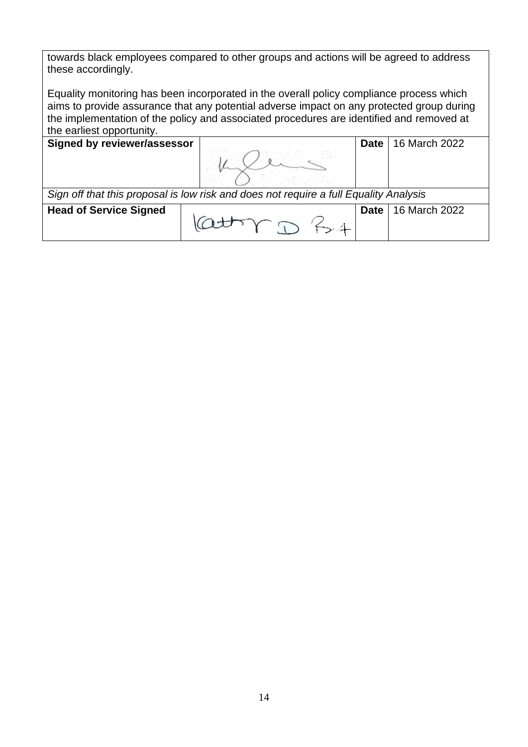towards black employees compared to other groups and actions will be agreed to address these accordingly.

Equality monitoring has been incorporated in the overall policy compliance process which aims to provide assurance that any potential adverse impact on any protected group during the implementation of the policy and associated procedures are identified and removed at the earliest opportunity.

**Signed by reviewer/assessor Date** 16 March 2022

*Sign off that this proposal is low risk and does not require a full Equality Analysis*

**Head of Service Signed Date** 16 March 2022  $-4$